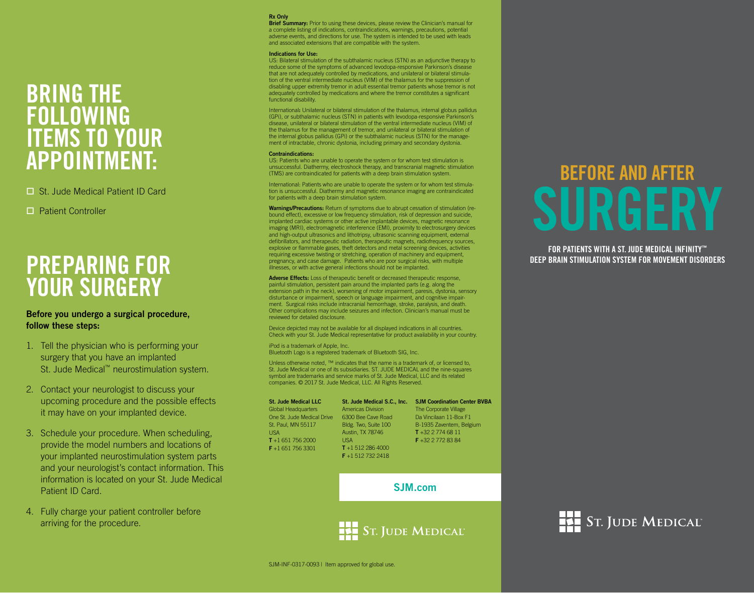## BRING THE FOLLOWING ITEMS TO YOUR APPOINTMENT:

o St. Jude Medical Patient ID Card

 $\Box$  Patient Controller

# YOUR SURGERY

Before you undergo a surgical procedure, follow these steps:

- 1. Tell the physician who is performing your surgery that you have an implanted St. Jude Medical™ neurostimulation system.
- 2. Contact your neurologist to discuss your upcoming procedure and the possible effects it may have on your implanted device.
- 3. Schedule your procedure. When scheduling, provide the model numbers and locations of your implanted neurostimulation system parts and your neurologist's contact information. This information is located on your St. Jude Medical Patient ID Card.
- 4. Fully charge your patient controller before arriving for the procedure.

#### Rx Only

Brief Summary: Prior to using these devices, please review the Clinician's manual for a complete listing of indications, contraindications, warnings, precautions, potential adverse events, and directions for use. The system is intended to be used with leads and associated extensions that are compatible with the system.

#### Indications for Use:

US: Bilateral stimulation of the subthalamic nucleus (STN) as an adjunctive therapy to reduce some of the symptoms of advanced levodopa-responsive Parkinson's disease that are not adequately controlled by medications, and unilateral or bilateral stimulation of the ventral intermediate nucleus (VIM) of the thalamus for the suppression of disabling upper extremity tremor in adult essential tremor patients whose tremor is not adequately controlled by medications and where the tremor constitutes a significant functional disability.

International: Unilateral or bilateral stimulation of the thalamus, internal globus pallidus (GPi), or subthalamic nucleus (STN) in patients with levodopa-responsive Parkinson's disease, unilateral or bilateral stimulation of the ventral intermediate nucleus (VIM) of the thalamus for the management of tremor, and unilateral or bilateral stimulation of the internal globus pallidus (GPi) or the subthalamic nucleus (STN) for the management of intractable, chronic dystonia, including primary and secondary dystonia.

#### Contraindications:

US: Patients who are unable to operate the system or for whom test stimulation is unsuccessful. Diathermy, electroshock therapy, and transcranial magnetic stimulation (TMS) are contraindicated for patients with a deep brain stimulation system.

International: Patients who are unable to operate the system or for whom test stimulation is unsuccessful. Diathermy and magnetic resonance imaging are contraindicated for patients with a deep brain stimulation system.

Warnings/Precautions: Return of symptoms due to abrupt cessation of stimulation (rebound effect), excessive or low frequency stimulation, risk of depression and suicide, implanted cardiac systems or other active implantable devices, magnetic resonance imaging (MRI), electromagnetic interference (EMI), proximity to electrosurgery devices and high-output ultrasonics and lithotripsy, ultrasonic scanning equipment, external defibrillators, and therapeutic radiation, therapeutic magnets, radiofrequency sources, explosive or flammable gases, theft detectors and metal screening devices, activities requiring excessive twisting or stretching, operation of machinery and equipment, pregnancy, and case damage. Patients who are poor surgical risks, with multiple illnesses, or with active general infections should not be implanted. **PREPARING FOR** EXPERIMENT DISORDERS (SCRIPTION STRUCK) THE STAGE CONTROLLED AND THE CONTROLLED INCORPORATION STRUCK ON THE ONER SHOULD AND THE ONER SHOULD AND THE ONER SHOULD AND THE ONER SHOULD AND THE ONER SHOULD AND TH

Adverse Effects: Loss of therapeutic benefit or decreased therapeutic response, painful stimulation, persistent pain around the implanted parts (e.g. along the extension path in the neck), worsening of motor impairment, paresis, dystonia, sensory disturbance or impairment, speech or language impairment, and cognitive impairment. Surgical risks include intracranial hemorrhage, stroke, paralysis, and death. Other complications may include seizures and infection. Clinician's manual must be reviewed for detailed disclosure.

Device depicted may not be available for all displayed indications in all countries. Check with your St. Jude Medical representative for product availability in your country.

iPod is a trademark of Apple, Inc. Bluetooth Logo is a registered trademark of Bluetooth SIG, Inc.

Unless otherwise noted, ™ indicates that the name is a trademark of, or licensed to, St. Jude Medical or one of its subsidiaries. ST. JUDE MEDICAL and the nine-squares symbol are trademarks and service marks of St. Jude Medical, LLC and its related companies. © 2017 St. Jude Medical, LLC. All Rights Reserved.

| <b>St. Jude Medical LLC</b> | St. Jude Medical S.C., Inc. | <b>SJM Coordination Center BVBA</b> |
|-----------------------------|-----------------------------|-------------------------------------|
| <b>Global Headquarters</b>  | <b>Americas Division</b>    | The Corporate Village               |
| One St. Jude Medical Drive  | 6300 Bee Cave Road          | Da Vincilaan 11-Box F1              |
| St. Paul, MN 55117          | Bldg. Two, Suite 100        | B-1935 Zaventem, Belgium            |
| <b>USA</b>                  | <b>Austin, TX 78746</b>     | $T + 3227746811$                    |
| $T + 16517562000$           | <b>USA</b>                  | F +32 2 772 83 84                   |
| $F + 16517563301$           | $T + 1$ 512 286 4000        |                                     |
|                             | $F + 1$ 512 732 2418        |                                     |

#### SJM.com



## BEFORE AND AFTER SURGERY

## FOR PATIENTS WITH A ST. JUDE MEDICAL INFINITY™